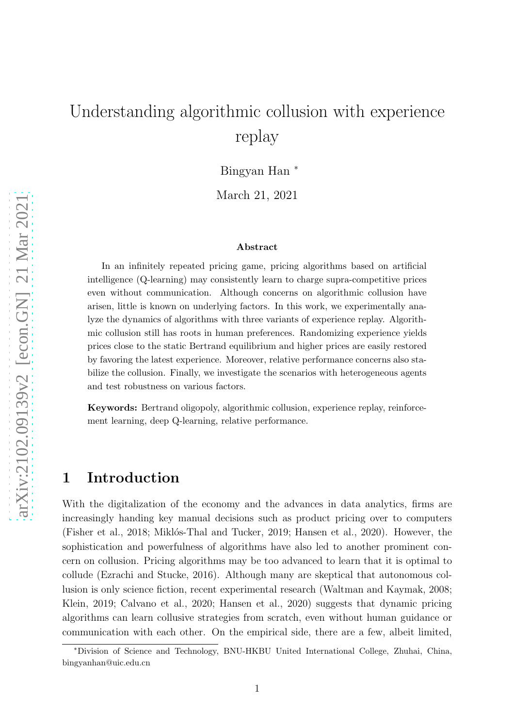# Understanding algorithmic collusion with experience replay

Bingyan Han <sup>∗</sup>

March 21, 2021

#### Abstract

In an infinitely repeated pricing game, pricing algorithms based on artificial intelligence (Q-learning) may consistently learn to charge supra-competitive prices even without communication. Although concerns on algorithmic collusion have arisen, little is known on underlying factors. In this work, we experimentally analyze the dynamics of algorithms with three variants of experience replay. Algorithmic collusion still has roots in human preferences. Randomizing experience yields prices close to the static Bertrand equilibrium and higher prices are easily restored by favoring the latest experience. Moreover, relative performance concerns also stabilize the collusion. Finally, we investigate the scenarios with heterogeneous agents and test robustness on various factors.

Keywords: Bertrand oligopoly, algorithmic collusion, experience replay, reinforcement learning, deep Q-learning, relative performance.

### 1 Introduction

With the digitalization of the economy and the advances in data analytics, firms are increasingly handing key manual decisions such as product pricing over to computers [\(Fisher et al.](#page-23-0), [2018;](#page-23-0) Miklós-Thal and Tucker, [2019;](#page-24-0) [Hansen et al., 2020](#page-24-1)). However, the sophistication and powerfulness of algorithms have also led to another prominent concern on collusion. Pricing algorithms may be too advanced to learn that it is optimal to collude [\(Ezrachi and Stucke](#page-23-1), [2016\)](#page-23-1). Although many are skeptical that autonomous collusion is only science fiction, recent experimental research [\(Waltman and Kaymak, 2008](#page-25-0); [Klein](#page-24-2), [2019](#page-24-2); [Calvano et al., 2020;](#page-23-2) [Hansen et al.](#page-24-1), [2020](#page-24-1)) suggests that dynamic pricing algorithms can learn collusive strategies from scratch, even without human guidance or communication with each other. On the empirical side, there are a few, albeit limited,

<sup>∗</sup>Division of Science and Technology, BNU-HKBU United International College, Zhuhai, China, bingyanhan@uic.edu.cn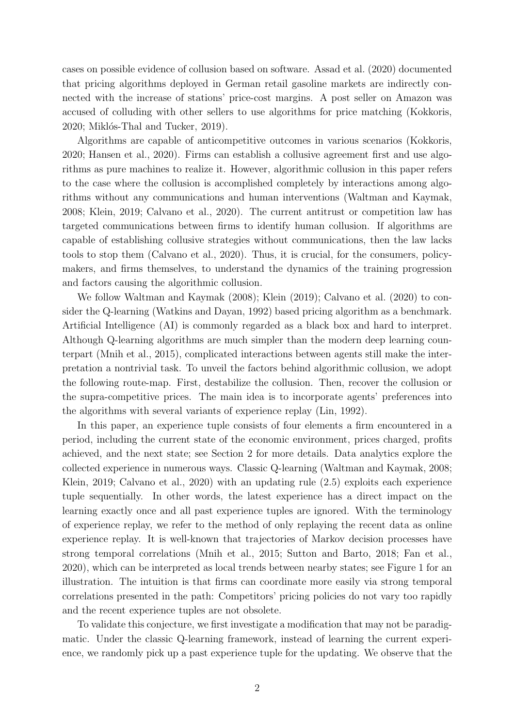cases on possible evidence of collusion based on software. [Assad et](#page-23-3) al. [\(2020\)](#page-23-3) documented that pricing algorithms deployed in German retail gasoline markets are indirectly connected with the increase of stations' price-cost margins. A post seller on Amazon was accused of colluding with other sellers to use algorithms for price matching [\(Kokkoris,](#page-24-3) [2020;](#page-24-3) Miklós-Thal and Tucker, [2019](#page-24-0)).

Algorithms are capable of anticompetitive outcomes in various scenarios [\(Kokkoris,](#page-24-3) [2020;](#page-24-3) [Hansen et al.](#page-24-1), [2020\)](#page-24-1). Firms can establish a collusive agreement first and use algorithms as pure machines to realize it. However, algorithmic collusion in this paper refers to the case where the collusion is accomplished completely by interactions among algorithms without any communications and human interventions [\(Waltman and Kaymak,](#page-25-0) [2008;](#page-25-0) [Klein, 2019;](#page-24-2) [Calvano et al.](#page-23-2), [2020\)](#page-23-2). The current antitrust or competition law has targeted communications between firms to identify human collusion. If algorithms are capable of establishing collusive strategies without communications, then the law lacks tools to stop them [\(Calvano et al.](#page-23-4), [2020](#page-23-4)). Thus, it is crucial, for the consumers, policymakers, and firms themselves, to understand the dynamics of the training progression and factors causing the algorithmic collusion.

We follow [Waltman and Kaymak \(2008](#page-25-0)); [Klein \(2019](#page-24-2)); [Calvano et al. \(2020\)](#page-23-2) to consider the Q-learning [\(Watkins and Dayan](#page-25-1), [1992\)](#page-25-1) based pricing algorithm as a benchmark. Artificial Intelligence (AI) is commonly regarded as a black box and hard to interpret. Although Q-learning algorithms are much simpler than the modern deep learning counterpart [\(Mnih et al.](#page-24-4), [2015\)](#page-24-4), complicated interactions between agents still make the interpretation a nontrivial task. To unveil the factors behind algorithmic collusion, we adopt the following route-map. First, destabilize the collusion. Then, recover the collusion or the supra-competitive prices. The main idea is to incorporate agents' preferences into the algorithms with several variants of experience replay [\(Lin, 1992](#page-24-5)).

In this paper, an experience tuple consists of four elements a firm encountered in a period, including the current state of the economic environment, prices charged, profits achieved, and the next state; see Section [2](#page-4-0) for more details. Data analytics explore the collected experience in numerous ways. Classic Q-learning [\(Waltman and Kaymak, 2008](#page-25-0); [Klein](#page-24-2), [2019;](#page-24-2) [Calvano et al., 2020](#page-23-2)) with an updating rule [\(2.5\)](#page-5-0) exploits each experience tuple sequentially. In other words, the latest experience has a direct impact on the learning exactly once and all past experience tuples are ignored. With the terminology of experience replay, we refer to the method of only replaying the recent data as online experience replay. It is well-known that trajectories of Markov decision processes have strong temporal correlations [\(Mnih et al.](#page-24-4), [2015;](#page-24-4) [Sutton and Barto](#page-25-2), [2018;](#page-25-2) [Fan et al.](#page-23-5), [2020\)](#page-23-5), which can be interpreted as local trends between nearby states; see Figure [1](#page-6-0) for an illustration. The intuition is that firms can coordinate more easily via strong temporal correlations presented in the path: Competitors' pricing policies do not vary too rapidly and the recent experience tuples are not obsolete.

To validate this conjecture, we first investigate a modification that may not be paradigmatic. Under the classic Q-learning framework, instead of learning the current experience, we randomly pick up a past experience tuple for the updating. We observe that the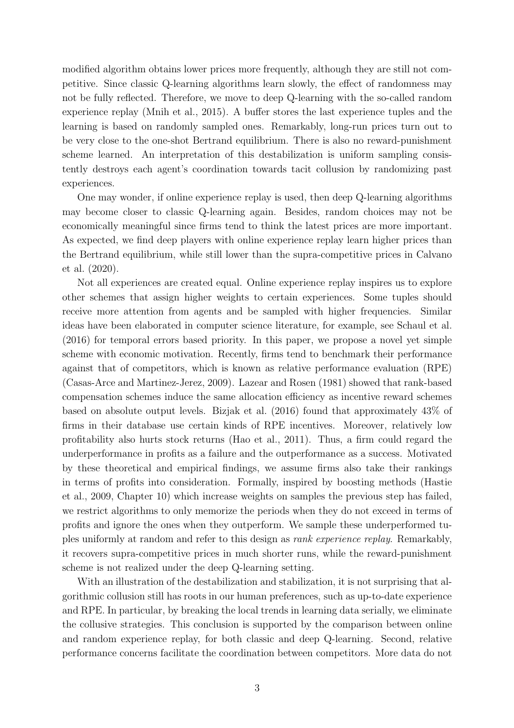modified algorithm obtains lower prices more frequently, although they are still not competitive. Since classic Q-learning algorithms learn slowly, the effect of randomness may not be fully reflected. Therefore, we move to deep Q-learning with the so-called random experience replay [\(Mnih et al.](#page-24-4), [2015\)](#page-24-4). A buffer stores the last experience tuples and the learning is based on randomly sampled ones. Remarkably, long-run prices turn out to be very close to the one-shot Bertrand equilibrium. There is also no reward-punishment scheme learned. An interpretation of this destabilization is uniform sampling consistently destroys each agent's coordination towards tacit collusion by randomizing past experiences.

One may wonder, if online experience replay is used, then deep Q-learning algorithms may become closer to classic Q-learning again. Besides, random choices may not be economically meaningful since firms tend to think the latest prices are more important. As expected, we find deep players with online experience replay learn higher prices than the [Bertrand equilibrium, while still lower than the supra-competitive](#page-23-2) prices in Calvano et al. [\(2020\)](#page-23-2).

Not all experiences are created equal. Online experience replay inspires us to explore other schemes that assign higher weights to certain experiences. Some tuples should receive more attention from agents and be sampled with higher frequencies. Similar ideas have been elaborated in computer science literature, for example, see [Schaul et al.](#page-24-6) [\(2016](#page-24-6)) for temporal errors based priority. In this paper, we propose a novel yet simple scheme with economic motivation. Recently, firms tend to benchmark their performance against that of competitors, which is known as relative performance evaluation (RPE) [\(Casas-Arce and Martinez-Jerez, 2009\)](#page-23-6). [Lazear and Rosen \(1981\)](#page-24-7) showed that rank-based compensation schemes induce the same allocation efficiency as incentive reward schemes based on absolute output levels. [Bizjak et al. \(2016\)](#page-23-7) found that approximately 43% of firms in their database use certain kinds of RPE incentives. Moreover, relatively low profitability also hurts stock returns [\(Hao et al.](#page-24-8), [2011\)](#page-24-8). Thus, a firm could regard the underperformance in profits as a failure and the outperformance as a success. Motivated by these theoretical and empirical findings, we assume firms also take their rankings in te[rms of profits into consideration. Formally, inspired by boosting](#page-24-9) methods (Hastie et al., [2009,](#page-24-9) Chapter 10) which increase weights on samples the previous step has failed, we restrict algorithms to only memorize the periods when they do not exceed in terms of profits and ignore the ones when they outperform. We sample these underperformed tuples uniformly at random and refer to this design as *rank experience replay*. Remarkably, it recovers supra-competitive prices in much shorter runs, while the reward-punishment scheme is not realized under the deep Q-learning setting.

With an illustration of the destabilization and stabilization, it is not surprising that algorithmic collusion still has roots in our human preferences, such as up-to-date experience and RPE. In particular, by breaking the local trends in learning data serially, we eliminate the collusive strategies. This conclusion is supported by the comparison between online and random experience replay, for both classic and deep Q-learning. Second, relative performance concerns facilitate the coordination between competitors. More data do not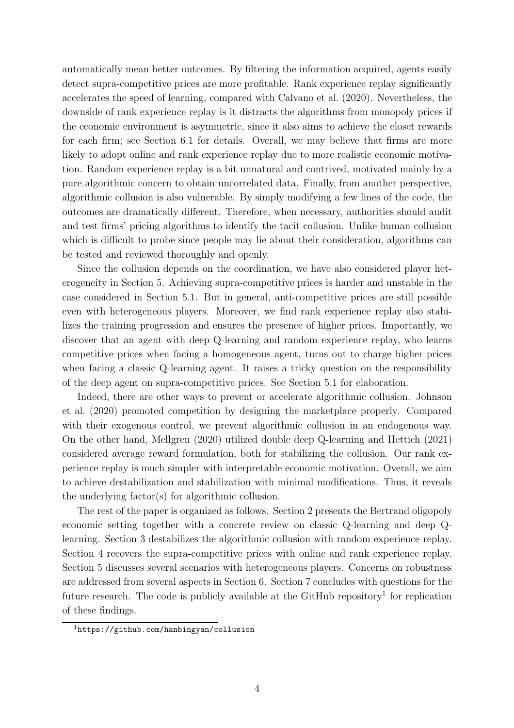automatically mean better outcomes. By filtering the information acquired, agents easily detect supra-competitive prices are more profitable. Rank experience replay significantly accelerates the speed of learning, compared with [Calvano et al. \(2020\)](#page-23-2). Nevertheless, the downside of rank experience replay is it distracts the algorithms from monopoly prices if the economic environment is asymmetric, since it also aims to achieve the closet rewards for each firm; see Section [6.1](#page-19-0) for details. Overall, we may believe that firms are more likely to adopt online and rank experience replay due to more realistic economic motivation. Random experience replay is a bit unnatural and contrived, motivated mainly by a pure algorithmic concern to obtain uncorrelated data. Finally, from another perspective, algorithmic collusion is also vulnerable. By simply modifying a few lines of the code, the outcomes are dramatically different. Therefore, when necessary, authorities should audit and test firms' pricing algorithms to identify the tacit collusion. Unlike human collusion which is difficult to probe since people may lie about their consideration, algorithms can be tested and reviewed thoroughly and openly.

Since the collusion depends on the coordination, we have also considered player heterogeneity in Section [5.](#page-15-0) Achieving supra-competitive prices is harder and unstable in the case considered in Section [5.1.](#page-16-0) But in general, anti-competitive prices are still possible even with heterogeneous players. Moreover, we find rank experience replay also stabilizes the training progression and ensures the presence of higher prices. Importantly, we discover that an agent with deep Q-learning and random experience replay, who learns competitive prices when facing a homogeneous agent, turns out to charge higher prices when facing a classic Q-learning agent. It raises a tricky question on the responsibility of the deep agent on supra-competitive prices. See Section [5.1](#page-16-0) for elaboration.

I[ndeed, there are other ways to prevent or accelerate algorithmic collusion.](#page-24-10) Johnson et al. [\(2020\)](#page-24-10) promoted competition by designing the marketplace properly. Compared with their exogenous control, we prevent algorithmic collusion in an endogenous way. On the other hand, [Mellgren \(2020](#page-24-11)) utilized double deep Q-learning and [Hettich \(2021\)](#page-24-12) considered average reward formulation, both for stabilizing the collusion. Our rank experience replay is much simpler with interpretable economic motivation. Overall, we aim to achieve destabilization and stabilization with minimal modifications. Thus, it reveals the underlying factor(s) for algorithmic collusion.

The rest of the paper is organized as follows. Section [2](#page-4-0) presents the Bertrand oligopoly economic setting together with a concrete review on classic Q-learning and deep Qlearning. Section [3](#page-9-0) destabilizes the algorithmic collusion with random experience replay. Section [4](#page-13-0) recovers the supra-competitive prices with online and rank experience replay. Section [5](#page-15-0) discusses several scenarios with heterogeneous players. Concerns on robustness are addressed from several aspects in Section [6.](#page-19-1) Section [7](#page-22-0) concludes with questions for the future research. The code is publicly available at the GitHub repository<sup>[1](#page-3-0)</sup> for replication of these findings.

<span id="page-3-0"></span><sup>1</sup><https://github.com/hanbingyan/collusion>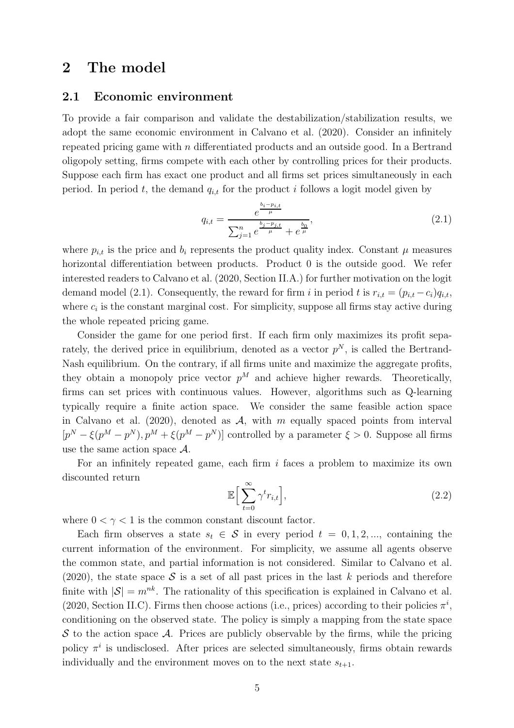### <span id="page-4-0"></span>2 The model

#### 2.1 Economic environment

To provide a fair comparison and validate the destabilization/stabilization results, we adopt the same economic environment in [Calvano et al. \(2020](#page-23-2)). Consider an infinitely repeated pricing game with n differentiated products and an outside good. In a Bertrand oligopoly setting, firms compete with each other by controlling prices for their products. Suppose each firm has exact one product and all firms set prices simultaneously in each period. In period t, the demand  $q_{i,t}$  for the product i follows a logit model given by

<span id="page-4-1"></span>
$$
q_{i,t} = \frac{e^{\frac{b_i - p_{i,t}}{\mu}}}{\sum_{j=1}^n e^{\frac{b_j - p_{j,t}}{\mu}} + e^{\frac{b_0}{\mu}}},
$$
\n(2.1)

where  $p_{i,t}$  is the price and  $b_i$  represents the product quality index. Constant  $\mu$  measures horizontal differentiation between products. Product 0 is the outside good. We refer interested readers to [Calvano et al. \(2020,](#page-23-2) Section II.A.) for further motivation on the logit demand model [\(2.1\)](#page-4-1). Consequently, the reward for firm i in period t is  $r_{i,t} = (p_{i,t} - c_i)q_{i,t}$ , where  $c_i$  is the constant marginal cost. For simplicity, suppose all firms stay active during the whole repeated pricing game.

Consider the game for one period first. If each firm only maximizes its profit separately, the derived price in equilibrium, denoted as a vector  $p<sup>N</sup>$ , is called the Bertrand-Nash equilibrium. On the contrary, if all firms unite and maximize the aggregate profits, they obtain a monopoly price vector  $p^M$  and achieve higher rewards. Theoretically, firms can set prices with continuous values. However, algorithms such as Q-learning typically require a finite action space. We consider the same feasible action space in [Calvano et al. \(2020](#page-23-2)), denoted as  $A$ , with m equally spaced points from interval  $[p^N - \xi(p^M - p^N), p^M + \xi(p^M - p^N)]$  controlled by a parameter  $\xi > 0$ . Suppose all firms use the same action space  $\mathcal{A}$ .

For an infinitely repeated game, each firm  $i$  faces a problem to maximize its own discounted return

$$
\mathbb{E}\Big[\sum_{t=0}^{\infty} \gamma^t r_{i,t}\Big],\tag{2.2}
$$

where  $0 < \gamma < 1$  is the common constant discount factor.

Each firm observes a state  $s_t \in \mathcal{S}$  in every period  $t = 0, 1, 2, \dots$ , containing the current information of the environment. For simplicity, we assume all agents observe the common state, and partial information is not considered. Similar to [Calvano et al.](#page-23-2) [\(2020](#page-23-2)), the state space S is a set of all past prices in the last k periods and therefore finite with  $|\mathcal{S}| = m^{nk}$ . The rationality of this specification is explained in [Calvano et al.](#page-23-2) [\(2020](#page-23-2), Section II.C). Firms then choose actions (i.e., prices) according to their policies  $\pi^{i}$ , conditioning on the observed state. The policy is simply a mapping from the state space  $\mathcal S$  to the action space  $\mathcal A$ . Prices are publicly observable by the firms, while the pricing policy  $\pi^i$  is undisclosed. After prices are selected simultaneously, firms obtain rewards individually and the environment moves on to the next state  $s_{t+1}$ .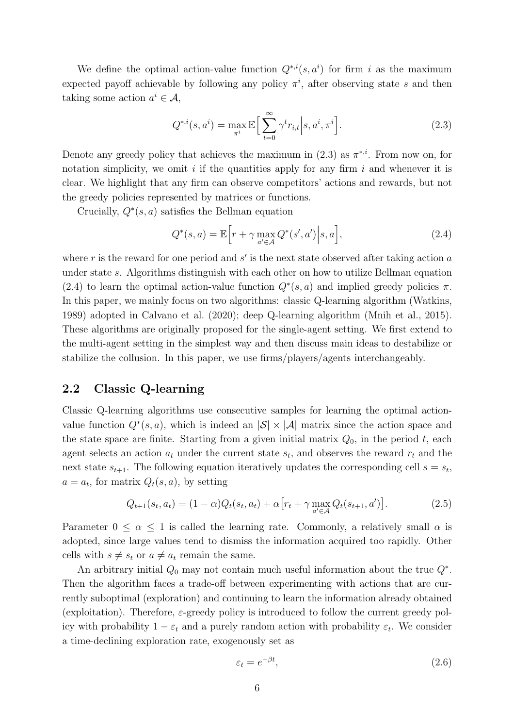We define the optimal action-value function  $Q^{*,i}(s, a^i)$  for firm i as the maximum expected payoff achievable by following any policy  $\pi^i$ , after observing state s and then taking some action  $a^i \in \mathcal{A}$ ,

<span id="page-5-1"></span>
$$
Q^{*,i}(s,a^i) = \max_{\pi^i} \mathbb{E}\Big[\sum_{t=0}^{\infty} \gamma^t r_{i,t} \Big| s, a^i, \pi^i \Big].
$$
 (2.3)

Denote any greedy policy that achieves the maximum in  $(2.3)$  as  $\pi^{*,i}$ . From now on, for notation simplicity, we omit  $i$  if the quantities apply for any firm  $i$  and whenever it is clear. We highlight that any firm can observe competitors' actions and rewards, but not the greedy policies represented by matrices or functions.

Crucially,  $Q^*(s, a)$  satisfies the Bellman equation

<span id="page-5-2"></span>
$$
Q^*(s, a) = \mathbb{E}\Big[r + \gamma \max_{a' \in \mathcal{A}} Q^*(s', a')\Big|s, a\Big],\tag{2.4}
$$

where  $r$  is the reward for one period and  $s'$  is the next state observed after taking action  $a$ under state s. Algorithms distinguish with each other on how to utilize Bellman equation [\(2.4\)](#page-5-2) to learn the optimal action-value function  $Q^*(s, a)$  and implied greedy policies  $\pi$ . In this paper, we mainly focus on two algorithms: classic Q-learning algorithm [\(Watkins,](#page-25-3) [1989\)](#page-25-3) adopted in [Calvano et al. \(2020](#page-23-2)); deep Q-learning algorithm [\(Mnih et al.](#page-24-4), [2015\)](#page-24-4). These algorithms are originally proposed for the single-agent setting. We first extend to the multi-agent setting in the simplest way and then discuss main ideas to destabilize or stabilize the collusion. In this paper, we use firms/players/agents interchangeably.

#### <span id="page-5-3"></span>2.2 Classic Q-learning

Classic Q-learning algorithms use consecutive samples for learning the optimal actionvalue function  $Q^*(s, a)$ , which is indeed an  $|\mathcal{S}| \times |\mathcal{A}|$  matrix since the action space and the state space are finite. Starting from a given initial matrix  $Q_0$ , in the period t, each agent selects an action  $a_t$  under the current state  $s_t$ , and observes the reward  $r_t$  and the next state  $s_{t+1}$ . The following equation iteratively updates the corresponding cell  $s = s_t$ ,  $a = a_t$ , for matrix  $Q_t(s, a)$ , by setting

<span id="page-5-0"></span>
$$
Q_{t+1}(s_t, a_t) = (1 - \alpha)Q_t(s_t, a_t) + \alpha \left[r_t + \gamma \max_{a' \in \mathcal{A}} Q_t(s_{t+1}, a')\right].
$$
 (2.5)

Parameter  $0 \le \alpha \le 1$  is called the learning rate. Commonly, a relatively small  $\alpha$  is adopted, since large values tend to dismiss the information acquired too rapidly. Other cells with  $s \neq s_t$  or  $a \neq a_t$  remain the same.

An arbitrary initial  $Q_0$  may not contain much useful information about the true  $Q^*$ . Then the algorithm faces a trade-off between experimenting with actions that are currently suboptimal (exploration) and continuing to learn the information already obtained (exploitation). Therefore,  $\varepsilon$ -greedy policy is introduced to follow the current greedy policy with probability  $1 - \varepsilon_t$  and a purely random action with probability  $\varepsilon_t$ . We consider a time-declining exploration rate, exogenously set as

$$
\varepsilon_t = e^{-\beta t},\tag{2.6}
$$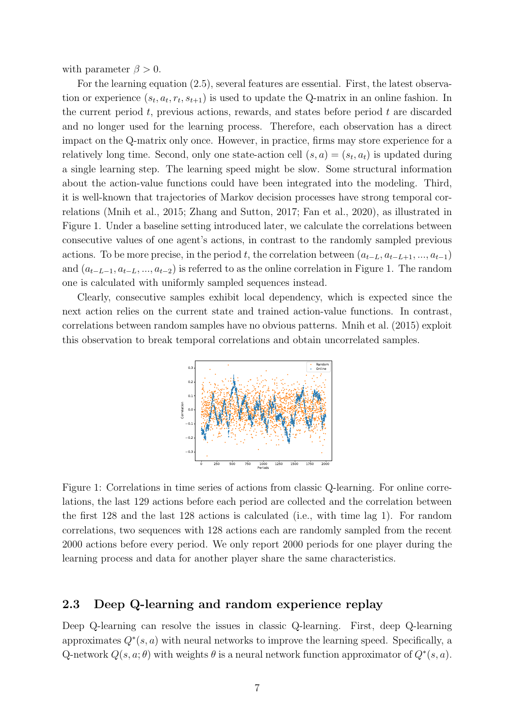with parameter  $\beta > 0$ .

For the learning equation [\(2.5\)](#page-5-0), several features are essential. First, the latest observation or experience  $(s_t, a_t, r_t, s_{t+1})$  is used to update the Q-matrix in an online fashion. In the current period  $t$ , previous actions, rewards, and states before period  $t$  are discarded and no longer used for the learning process. Therefore, each observation has a direct impact on the Q-matrix only once. However, in practice, firms may store experience for a relatively long time. Second, only one state-action cell  $(s, a) = (s_t, a_t)$  is updated during a single learning step. The learning speed might be slow. Some structural information about the action-value functions could have been integrated into the modeling. Third, it is well-known that trajectories of Markov decision processes have strong temporal correlations [\(Mnih et al.](#page-24-4), [2015](#page-24-4); [Zhang and Sutton, 2017;](#page-25-4) [Fan et al.](#page-23-5), [2020](#page-23-5)), as illustrated in Figure [1.](#page-6-0) Under a baseline setting introduced later, we calculate the correlations between consecutive values of one agent's actions, in contrast to the randomly sampled previous actions. To be more precise, in the period t, the correlation between  $(a_{t-L}, a_{t-L+1}, ..., a_{t-1})$ and  $(a_{t-L-1}, a_{t-L}, ..., a_{t-2})$  is referred to as the online correlation in Figure [1.](#page-6-0) The random one is calculated with uniformly sampled sequences instead.

<span id="page-6-0"></span>Clearly, consecutive samples exhibit local dependency, which is expected since the next action relies on the current state and trained action-value functions. In contrast, correlations between random samples have no obvious patterns. [Mnih et al. \(2015](#page-24-4)) exploit this observation to break temporal correlations and obtain uncorrelated samples.



Figure 1: Correlations in time series of actions from classic Q-learning. For online correlations, the last 129 actions before each period are collected and the correlation between the first 128 and the last 128 actions is calculated (i.e., with time lag 1). For random correlations, two sequences with 128 actions each are randomly sampled from the recent 2000 actions before every period. We only report 2000 periods for one player during the learning process and data for another player share the same characteristics.

#### 2.3 Deep Q-learning and random experience replay

Deep Q-learning can resolve the issues in classic Q-learning. First, deep Q-learning approximates  $Q^*(s, a)$  with neural networks to improve the learning speed. Specifically, a Q-network  $Q(s, a; \theta)$  with weights  $\theta$  is a neural network function approximator of  $Q^*(s, a)$ .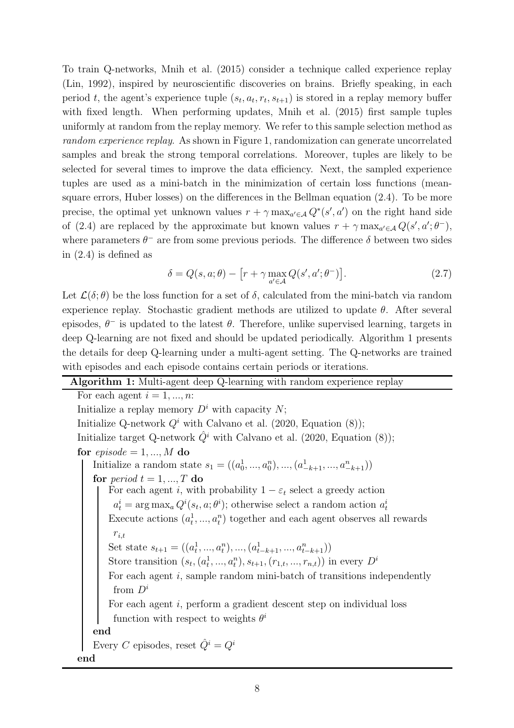To train Q-networks, [Mnih et al. \(2015\)](#page-24-4) consider a technique called experience replay [\(Lin, 1992](#page-24-5)), inspired by neuroscientific discoveries on brains. Briefly speaking, in each period t, the agent's experience tuple  $(s_t, a_t, r_t, s_{t+1})$  is stored in a replay memory buffer with fixed length. When performing updates, [Mnih et al. \(2015](#page-24-4)) first sample tuples uniformly at random from the replay memory. We refer to this sample selection method as *random experience replay*. As shown in Figure [1,](#page-6-0) randomization can generate uncorrelated samples and break the strong temporal correlations. Moreover, tuples are likely to be selected for several times to improve the data efficiency. Next, the sampled experience tuples are used as a mini-batch in the minimization of certain loss functions (meansquare errors, Huber losses) on the differences in the Bellman equation [\(2.4\)](#page-5-2). To be more precise, the optimal yet unknown values  $r + \gamma \max_{a' \in A} Q^*(s', a')$  on the right hand side of [\(2.4\)](#page-5-2) are replaced by the approximate but known values  $r + \gamma \max_{a' \in \mathcal{A}} Q(s', a'; \theta^{-}),$ where parameters  $\theta^-$  are from some previous periods. The difference  $\delta$  between two sides in [\(2.4\)](#page-5-2) is defined as

$$
\delta = Q(s, a; \theta) - \left[r + \gamma \max_{a' \in \mathcal{A}} Q(s', a'; \theta^{-})\right].
$$
\n(2.7)

Let  $\mathcal{L}(\delta;\theta)$  be the loss function for a set of  $\delta$ , calculated from the mini-batch via random experience replay. Stochastic gradient methods are utilized to update  $\theta$ . After several episodes,  $\theta^-$  is updated to the latest  $\theta$ . Therefore, unlike supervised learning, targets in deep Q-learning are not fixed and should be updated periodically. Algorithm [1](#page-7-0) presents the details for deep Q-learning under a multi-agent setting. The Q-networks are trained with episodes and each episode contains certain periods or iterations.

#### <span id="page-7-0"></span>Algorithm 1: Multi-agent deep Q-learning with random experience replay

For each agent  $i = 1, ..., n$ : Initialize a replay memory  $D^i$  with capacity  $N$ ; Initialize Q-network  $Q^i$  with [Calvano et al. \(2020](#page-23-2), Equation (8)); Initialize target Q-network  $\hat{Q}^i$  with [Calvano et al. \(2020](#page-23-2), Equation (8)); for  $episode = 1, ..., M$  do Initialize a random state  $s_1 = ((a_0^1, ..., a_0^n), ..., (a_{-k+1}^1, ..., a_{-k+1}^n))$ for *period*  $t = 1, ..., T$  do For each agent i, with probability  $1 - \varepsilon_t$  select a greedy action  $a_t^i = \arg \max_a Q^i(s_t, a; \theta^i)$ ; otherwise select a random action  $a_t^i$ Execute actions  $(a_t^1)$  $t^1, ..., a_t^n$ ) together and each agent observes all rewards  $r_{i,t}$ Set state  $s_{t+1} = ((a_t^1)$  $\{a_{t-k+1}^1, ..., a_{t-k+1}^n, ..., a_{t-k+1}^n)\}$ Store transition  $(s_t, (a_t^1))$  $(t_1^1, ..., a_t^n), s_{t+1}, (r_{1,t}, ..., r_{n,t})$  in every  $D^i$ For each agent  $i$ , sample random mini-batch of transitions independently from  $D^i$ For each agent i, perform a gradient descent step on individual loss function with respect to weights  $\theta^i$ end Every C episodes, reset  $\hat{Q}^i = Q^i$ end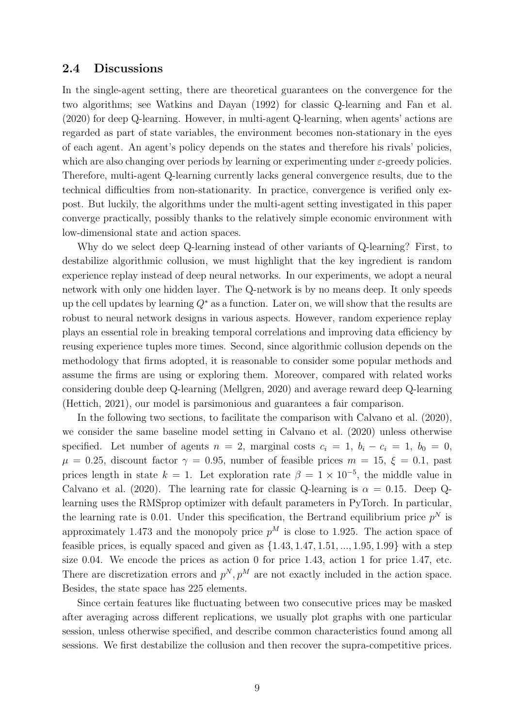#### 2.4 Discussions

In the single-agent setting, there are theoretical guarantees on the convergence for the two algorithms; see [Watkins and Dayan \(1992](#page-25-1)) for classic Q-learning and [Fan et al.](#page-23-5) [\(2020](#page-23-5)) for deep Q-learning. However, in multi-agent Q-learning, when agents' actions are regarded as part of state variables, the environment becomes non-stationary in the eyes of each agent. An agent's policy depends on the states and therefore his rivals' policies, which are also changing over periods by learning or experimenting under  $\varepsilon$ -greedy policies. Therefore, multi-agent Q-learning currently lacks general convergence results, due to the technical difficulties from non-stationarity. In practice, convergence is verified only expost. But luckily, the algorithms under the multi-agent setting investigated in this paper converge practically, possibly thanks to the relatively simple economic environment with low-dimensional state and action spaces.

Why do we select deep Q-learning instead of other variants of Q-learning? First, to destabilize algorithmic collusion, we must highlight that the key ingredient is random experience replay instead of deep neural networks. In our experiments, we adopt a neural network with only one hidden layer. The Q-network is by no means deep. It only speeds up the cell updates by learning  $Q^*$  as a function. Later on, we will show that the results are robust to neural network designs in various aspects. However, random experience replay plays an essential role in breaking temporal correlations and improving data efficiency by reusing experience tuples more times. Second, since algorithmic collusion depends on the methodology that firms adopted, it is reasonable to consider some popular methods and assume the firms are using or exploring them. Moreover, compared with related works considering double deep Q-learning [\(Mellgren, 2020\)](#page-24-11) and average reward deep Q-learning [\(Hettich](#page-24-12), [2021\)](#page-24-12), our model is parsimonious and guarantees a fair comparison.

In the following two sections, to facilitate the comparison with [Calvano et al. \(2020\)](#page-23-2), we consider the same baseline model setting in [Calvano et al. \(2020](#page-23-2)) unless otherwise specified. Let number of agents  $n = 2$ , marginal costs  $c_i = 1$ ,  $b_i - c_i = 1$ ,  $b_0 = 0$ ,  $\mu = 0.25$ , discount factor  $\gamma = 0.95$ , number of feasible prices  $m = 15$ ,  $\xi = 0.1$ , past prices length in state  $k = 1$ . Let exploration rate  $\beta = 1 \times 10^{-5}$ , the middle value in [Calvano et al. \(2020\)](#page-23-2). The learning rate for classic Q-learning is  $\alpha = 0.15$ . Deep Qlearning uses the RMSprop optimizer with default parameters in PyTorch. In particular, the learning rate is 0.01. Under this specification, the Bertrand equilibrium price  $p^N$  is approximately 1.473 and the monopoly price  $p^M$  is close to 1.925. The action space of feasible prices, is equally spaced and given as  $\{1.43, 1.47, 1.51, \ldots, 1.95, 1.99\}$  with a step size 0.04. We encode the prices as action 0 for price 1.43, action 1 for price 1.47, etc. There are discretization errors and  $p^N, p^M$  are not exactly included in the action space. Besides, the state space has 225 elements.

Since certain features like fluctuating between two consecutive prices may be masked after averaging across different replications, we usually plot graphs with one particular session, unless otherwise specified, and describe common characteristics found among all sessions. We first destabilize the collusion and then recover the supra-competitive prices.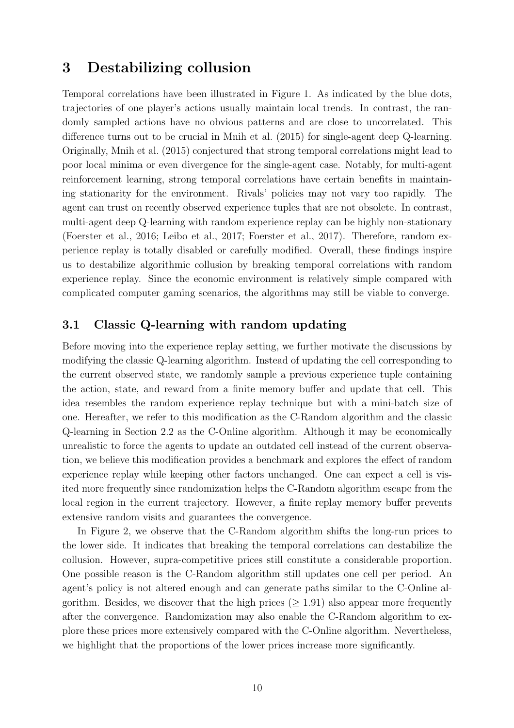### <span id="page-9-0"></span>3 Destabilizing collusion

Temporal correlations have been illustrated in Figure [1.](#page-6-0) As indicated by the blue dots, trajectories of one player's actions usually maintain local trends. In contrast, the randomly sampled actions have no obvious patterns and are close to uncorrelated. This difference turns out to be crucial in [Mnih et al. \(2015\)](#page-24-4) for single-agent deep Q-learning. Originally, [Mnih et al. \(2015](#page-24-4)) conjectured that strong temporal correlations might lead to poor local minima or even divergence for the single-agent case. Notably, for multi-agent reinforcement learning, strong temporal correlations have certain benefits in maintaining stationarity for the environment. Rivals' policies may not vary too rapidly. The agent can trust on recently observed experience tuples that are not obsolete. In contrast, multi-agent deep Q-learning with random experience replay can be highly non-stationary [\(Foerster et al., 2016;](#page-23-8) [Leibo et al., 2017;](#page-24-13) [Foerster et al., 2017](#page-23-9)). Therefore, random experience replay is totally disabled or carefully modified. Overall, these findings inspire us to destabilize algorithmic collusion by breaking temporal correlations with random experience replay. Since the economic environment is relatively simple compared with complicated computer gaming scenarios, the algorithms may still be viable to converge.

#### <span id="page-9-1"></span>3.1 Classic Q-learning with random updating

Before moving into the experience replay setting, we further motivate the discussions by modifying the classic Q-learning algorithm. Instead of updating the cell corresponding to the current observed state, we randomly sample a previous experience tuple containing the action, state, and reward from a finite memory buffer and update that cell. This idea resembles the random experience replay technique but with a mini-batch size of one. Hereafter, we refer to this modification as the C-Random algorithm and the classic Q-learning in Section [2.2](#page-5-3) as the C-Online algorithm. Although it may be economically unrealistic to force the agents to update an outdated cell instead of the current observation, we believe this modification provides a benchmark and explores the effect of random experience replay while keeping other factors unchanged. One can expect a cell is visited more frequently since randomization helps the C-Random algorithm escape from the local region in the current trajectory. However, a finite replay memory buffer prevents extensive random visits and guarantees the convergence.

In Figure [2,](#page-10-0) we observe that the C-Random algorithm shifts the long-run prices to the lower side. It indicates that breaking the temporal correlations can destabilize the collusion. However, supra-competitive prices still constitute a considerable proportion. One possible reason is the C-Random algorithm still updates one cell per period. An agent's policy is not altered enough and can generate paths similar to the C-Online algorithm. Besides, we discover that the high prices  $(≥ 1.91)$  also appear more frequently after the convergence. Randomization may also enable the C-Random algorithm to explore these prices more extensively compared with the C-Online algorithm. Nevertheless, we highlight that the proportions of the lower prices increase more significantly.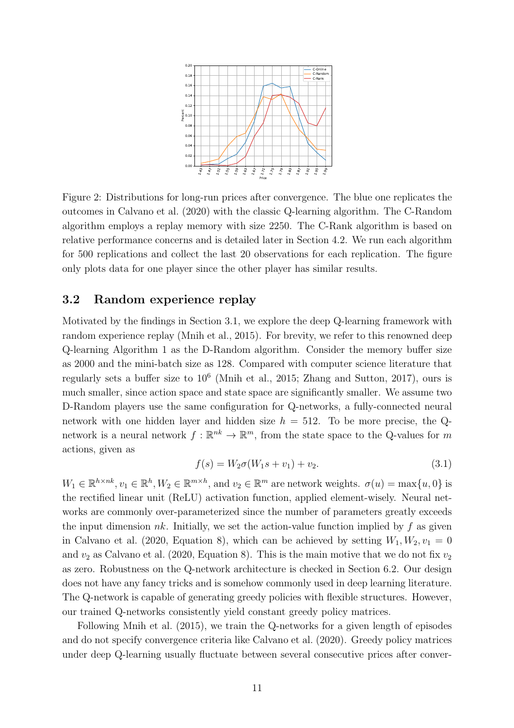<span id="page-10-0"></span>

Figure 2: Distributions for long-run prices after convergence. The blue one replicates the outcomes in [Calvano et al. \(2020\)](#page-23-2) with the classic Q-learning algorithm. The C-Random algorithm employs a replay memory with size 2250. The C-Rank algorithm is based on relative performance concerns and is detailed later in Section [4.2.](#page-13-1) We run each algorithm for 500 replications and collect the last 20 observations for each replication. The figure only plots data for one player since the other player has similar results.

### 3.2 Random experience replay

Motivated by the findings in Section [3.1,](#page-9-1) we explore the deep Q-learning framework with random experience replay [\(Mnih et al.](#page-24-4), [2015](#page-24-4)). For brevity, we refer to this renowned deep Q-learning Algorithm [1](#page-7-0) as the D-Random algorithm. Consider the memory buffer size as 2000 and the mini-batch size as 128. Compared with computer science literature that regularly sets a buffer size to  $10^6$  [\(Mnih et al., 2015](#page-24-4); [Zhang and Sutton](#page-25-4), [2017\)](#page-25-4), ours is much smaller, since action space and state space are significantly smaller. We assume two D-Random players use the same configuration for Q-networks, a fully-connected neural network with one hidden layer and hidden size  $h = 512$ . To be more precise, the Qnetwork is a neural network  $f: \mathbb{R}^{nk} \to \mathbb{R}^m$ , from the state space to the Q-values for m actions, given as

<span id="page-10-1"></span>
$$
f(s) = W_2 \sigma(W_1 s + v_1) + v_2. \tag{3.1}
$$

 $W_1 \in \mathbb{R}^{h \times nk}$ ,  $v_1 \in \mathbb{R}^h$ ,  $W_2 \in \mathbb{R}^{m \times h}$ , and  $v_2 \in \mathbb{R}^m$  are network weights.  $\sigma(u) = \max\{u, 0\}$  is the rectified linear unit (ReLU) activation function, applied element-wisely. Neural networks are commonly over-parameterized since the number of parameters greatly exceeds the input dimension nk. Initially, we set the action-value function implied by f as given in [Calvano et al. \(2020,](#page-23-2) Equation 8), which can be achieved by setting  $W_1, W_2, v_1 = 0$ and  $v_2$  as [Calvano et al. \(2020](#page-23-2), Equation 8). This is the main motive that we do not fix  $v_2$ as zero. Robustness on the Q-network architecture is checked in Section [6.2.](#page-20-0) Our design does not have any fancy tricks and is somehow commonly used in deep learning literature. The Q-network is capable of generating greedy policies with flexible structures. However, our trained Q-networks consistently yield constant greedy policy matrices.

Following [Mnih et al. \(2015\)](#page-24-4), we train the Q-networks for a given length of episodes and do not specify convergence criteria like [Calvano et al. \(2020\)](#page-23-2). Greedy policy matrices under deep Q-learning usually fluctuate between several consecutive prices after conver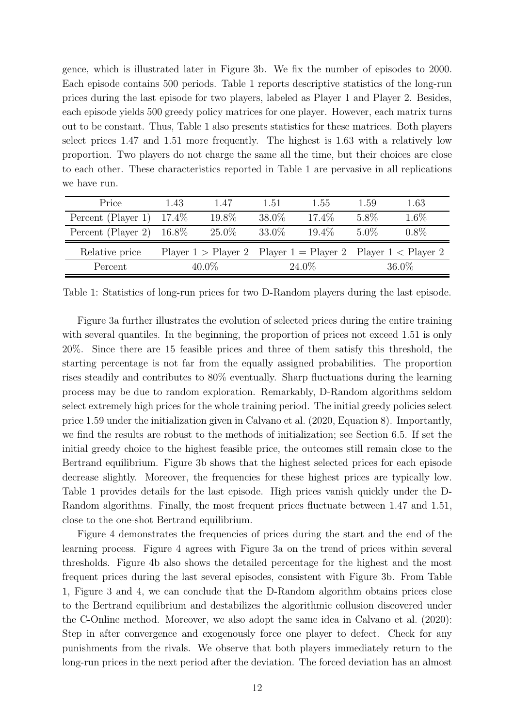gence, which is illustrated later in Figure [3b.](#page-12-0) We fix the number of episodes to 2000. Each episode contains 500 periods. Table [1](#page-11-0) reports descriptive statistics of the long-run prices during the last episode for two players, labeled as Player 1 and Player 2. Besides, each episode yields 500 greedy policy matrices for one player. However, each matrix turns out to be constant. Thus, Table [1](#page-11-0) also presents statistics for these matrices. Both players select prices 1.47 and 1.51 more frequently. The highest is 1.63 with a relatively low proportion. Two players do not charge the same all the time, but their choices are close to each other. These characteristics reported in Table [1](#page-11-0) are pervasive in all replications we have run.

<span id="page-11-0"></span>

| Price                       | 1.43 | 1.47     | 1.51   | 1.55     | 1.59    | 1.63                                                                    |
|-----------------------------|------|----------|--------|----------|---------|-------------------------------------------------------------------------|
| Percent (Player 1) $17.4\%$ |      | 19.8%    | 38.0\% | 17.4\%   | 5.8%    | $1.6\%$                                                                 |
| Percent (Player 2) $16.8\%$ |      | $25.0\%$ | 33.0\% | $19.4\%$ | $5.0\%$ | $0.8\%$                                                                 |
| Relative price              |      |          |        |          |         | Player $1 >$ Player $2$ Player $1 =$ Player $2$ Player $1 <$ Player $2$ |
| Percent                     |      | 40.0%    |        | 24.0\%   |         | $36.0\%$                                                                |

Table 1: Statistics of long-run prices for two D-Random players during the last episode.

Figure [3a](#page-12-0) further illustrates the evolution of selected prices during the entire training with several quantiles. In the beginning, the proportion of prices not exceed 1.51 is only 20%. Since there are 15 feasible prices and three of them satisfy this threshold, the starting percentage is not far from the equally assigned probabilities. The proportion rises steadily and contributes to 80% eventually. Sharp fluctuations during the learning process may be due to random exploration. Remarkably, D-Random algorithms seldom select extremely high prices for the whole training period. The initial greedy policies select price 1.59 under the initialization given in [Calvano et al. \(2020,](#page-23-2) Equation 8). Importantly, we find the results are robust to the methods of initialization; see Section [6.5.](#page-21-0) If set the initial greedy choice to the highest feasible price, the outcomes still remain close to the Bertrand equilibrium. Figure [3b](#page-12-0) shows that the highest selected prices for each episode decrease slightly. Moreover, the frequencies for these highest prices are typically low. Table [1](#page-11-0) provides details for the last episode. High prices vanish quickly under the D-Random algorithms. Finally, the most frequent prices fluctuate between 1.47 and 1.51, close to the one-shot Bertrand equilibrium.

Figure [4](#page-12-1) demonstrates the frequencies of prices during the start and the end of the learning process. Figure [4](#page-12-1) agrees with Figure [3a](#page-12-0) on the trend of prices within several thresholds. Figure [4b](#page-12-1) also shows the detailed percentage for the highest and the most frequent prices during the last several episodes, consistent with Figure [3b.](#page-12-0) From Table [1,](#page-11-0) Figure [3](#page-12-0) and [4,](#page-12-1) we can conclude that the D-Random algorithm obtains prices close to the Bertrand equilibrium and destabilizes the algorithmic collusion discovered under the C-Online method. Moreover, we also adopt the same idea in [Calvano et al. \(2020\)](#page-23-2): Step in after convergence and exogenously force one player to defect. Check for any punishments from the rivals. We observe that both players immediately return to the long-run prices in the next period after the deviation. The forced deviation has an almost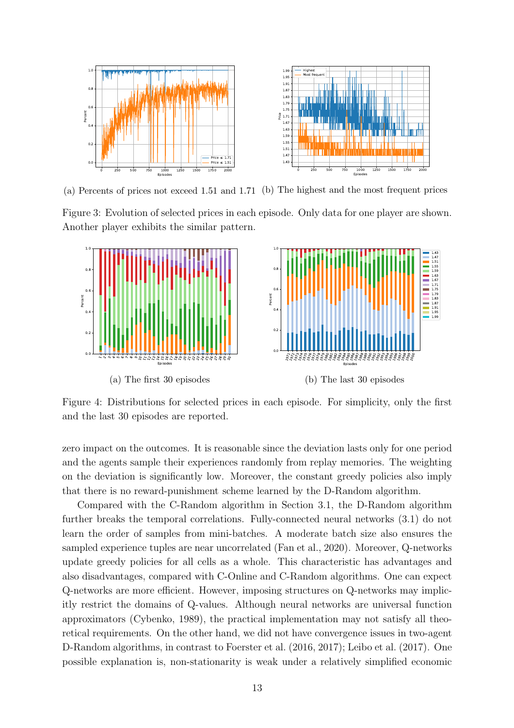<span id="page-12-0"></span>

(a) Percents of prices not exceed 1.51 and 1.71 (b) The highest and the most frequent prices

Figure 3: Evolution of selected prices in each episode. Only data for one player are shown. Another player exhibits the similar pattern.

<span id="page-12-1"></span>

Figure 4: Distributions for selected prices in each episode. For simplicity, only the first and the last 30 episodes are reported.

zero impact on the outcomes. It is reasonable since the deviation lasts only for one period and the agents sample their experiences randomly from replay memories. The weighting on the deviation is significantly low. Moreover, the constant greedy policies also imply that there is no reward-punishment scheme learned by the D-Random algorithm.

Compared with the C-Random algorithm in Section [3.1,](#page-9-1) the D-Random algorithm further breaks the temporal correlations. Fully-connected neural networks [\(3.1\)](#page-10-1) do not learn the order of samples from mini-batches. A moderate batch size also ensures the sampled experience tuples are near uncorrelated [\(Fan et al., 2020\)](#page-23-5). Moreover, Q-networks update greedy policies for all cells as a whole. This characteristic has advantages and also disadvantages, compared with C-Online and C-Random algorithms. One can expect Q-networks are more efficient. However, imposing structures on Q-networks may implicitly restrict the domains of Q-values. Although neural networks are universal function approximators [\(Cybenko](#page-23-10), [1989\)](#page-23-10), the practical implementation may not satisfy all theoretical requirements. On the other hand, we did not have convergence issues in two-agent D-Random algorithms, in contrast to [Foerster et al. \(2016](#page-23-8), [2017\)](#page-23-9); [Leibo et al. \(2017\)](#page-24-13). One possible explanation is, non-stationarity is weak under a relatively simplified economic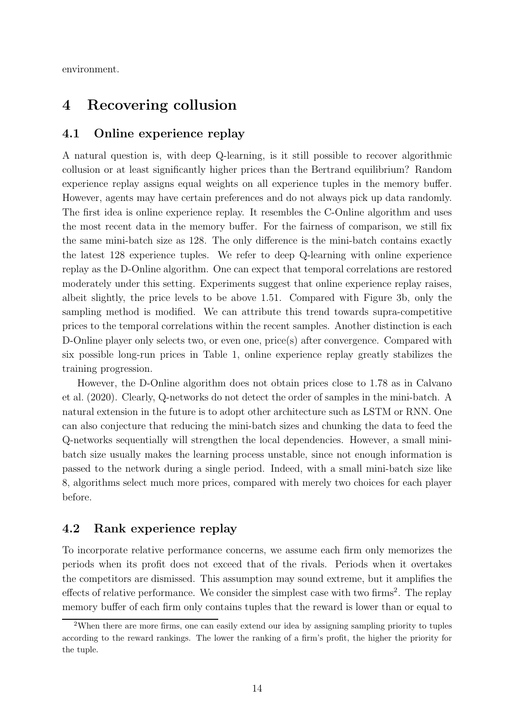<span id="page-13-0"></span>environment.

### 4 Recovering collusion

#### 4.1 Online experience replay

A natural question is, with deep Q-learning, is it still possible to recover algorithmic collusion or at least significantly higher prices than the Bertrand equilibrium? Random experience replay assigns equal weights on all experience tuples in the memory buffer. However, agents may have certain preferences and do not always pick up data randomly. The first idea is online experience replay. It resembles the C-Online algorithm and uses the most recent data in the memory buffer. For the fairness of comparison, we still fix the same mini-batch size as 128. The only difference is the mini-batch contains exactly the latest 128 experience tuples. We refer to deep Q-learning with online experience replay as the D-Online algorithm. One can expect that temporal correlations are restored moderately under this setting. Experiments suggest that online experience replay raises, albeit slightly, the price levels to be above 1.51. Compared with Figure [3b,](#page-12-0) only the sampling method is modified. We can attribute this trend towards supra-competitive prices to the temporal correlations within the recent samples. Another distinction is each D-Online player only selects two, or even one, price(s) after convergence. Compared with six possible long-run prices in Table [1,](#page-11-0) online experience replay greatly stabilizes the training progression.

[However, the D-Online algorithm does not obtain prices close to 1.78 as in](#page-23-2) Calvano et al. [\(2020](#page-23-2)). Clearly, Q-networks do not detect the order of samples in the mini-batch. A natural extension in the future is to adopt other architecture such as LSTM or RNN. One can also conjecture that reducing the mini-batch sizes and chunking the data to feed the Q-networks sequentially will strengthen the local dependencies. However, a small minibatch size usually makes the learning process unstable, since not enough information is passed to the network during a single period. Indeed, with a small mini-batch size like 8, algorithms select much more prices, compared with merely two choices for each player before.

#### <span id="page-13-1"></span>4.2 Rank experience replay

To incorporate relative performance concerns, we assume each firm only memorizes the periods when its profit does not exceed that of the rivals. Periods when it overtakes the competitors are dismissed. This assumption may sound extreme, but it amplifies the effects of relative performance. We consider the simplest case with two firms<sup>[2](#page-13-2)</sup>. The replay memory buffer of each firm only contains tuples that the reward is lower than or equal to

<span id="page-13-2"></span><sup>2</sup>When there are more firms, one can easily extend our idea by assigning sampling priority to tuples according to the reward rankings. The lower the ranking of a firm's profit, the higher the priority for the tuple.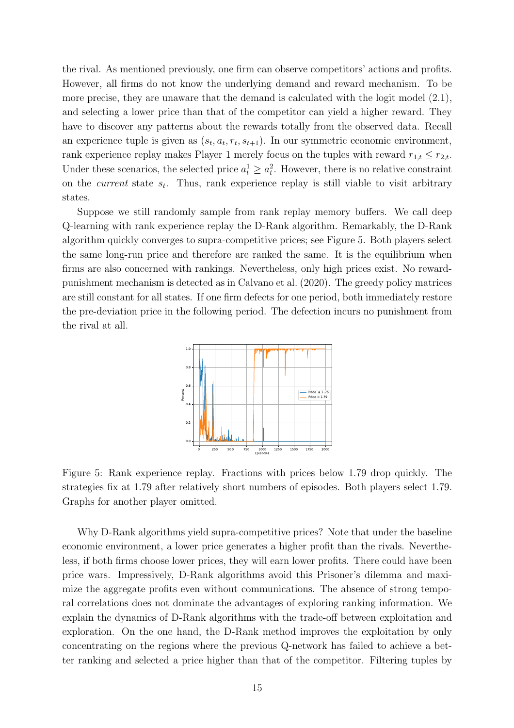the rival. As mentioned previously, one firm can observe competitors' actions and profits. However, all firms do not know the underlying demand and reward mechanism. To be more precise, they are unaware that the demand is calculated with the logit model  $(2.1)$ , and selecting a lower price than that of the competitor can yield a higher reward. They have to discover any patterns about the rewards totally from the observed data. Recall an experience tuple is given as  $(s_t, a_t, r_t, s_{t+1})$ . In our symmetric economic environment, rank experience replay makes Player 1 merely focus on the tuples with reward  $r_{1,t} \leq r_{2,t}$ . Under these scenarios, the selected price  $a_t^1 \ge a_t^2$  $t<sub>t</sub><sup>2</sup>$ . However, there is no relative constraint on the *current* state  $s_t$ . Thus, rank experience replay is still viable to visit arbitrary states.

Suppose we still randomly sample from rank replay memory buffers. We call deep Q-learning with rank experience replay the D-Rank algorithm. Remarkably, the D-Rank algorithm quickly converges to supra-competitive prices; see Figure [5.](#page-14-0) Both players select the same long-run price and therefore are ranked the same. It is the equilibrium when firms are also concerned with rankings. Nevertheless, only high prices exist. No rewardpunishment mechanism is detected as in [Calvano et al. \(2020](#page-23-2)). The greedy policy matrices are still constant for all states. If one firm defects for one period, both immediately restore the pre-deviation price in the following period. The defection incurs no punishment from the rival at all.

<span id="page-14-0"></span>

Figure 5: Rank experience replay. Fractions with prices below 1.79 drop quickly. The strategies fix at 1.79 after relatively short numbers of episodes. Both players select 1.79. Graphs for another player omitted.

Why D-Rank algorithms yield supra-competitive prices? Note that under the baseline economic environment, a lower price generates a higher profit than the rivals. Nevertheless, if both firms choose lower prices, they will earn lower profits. There could have been price wars. Impressively, D-Rank algorithms avoid this Prisoner's dilemma and maximize the aggregate profits even without communications. The absence of strong temporal correlations does not dominate the advantages of exploring ranking information. We explain the dynamics of D-Rank algorithms with the trade-off between exploitation and exploration. On the one hand, the D-Rank method improves the exploitation by only concentrating on the regions where the previous Q-network has failed to achieve a better ranking and selected a price higher than that of the competitor. Filtering tuples by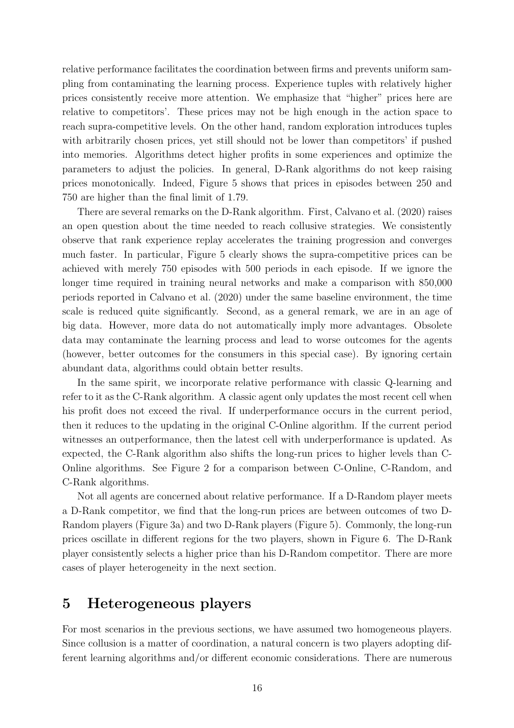relative performance facilitates the coordination between firms and prevents uniform sampling from contaminating the learning process. Experience tuples with relatively higher prices consistently receive more attention. We emphasize that "higher" prices here are relative to competitors'. These prices may not be high enough in the action space to reach supra-competitive levels. On the other hand, random exploration introduces tuples with arbitrarily chosen prices, yet still should not be lower than competitors' if pushed into memories. Algorithms detect higher profits in some experiences and optimize the parameters to adjust the policies. In general, D-Rank algorithms do not keep raising prices monotonically. Indeed, Figure [5](#page-14-0) shows that prices in episodes between 250 and 750 are higher than the final limit of 1.79.

There are several remarks on the D-Rank algorithm. First, [Calvano et al. \(2020\)](#page-23-2) raises an open question about the time needed to reach collusive strategies. We consistently observe that rank experience replay accelerates the training progression and converges much faster. In particular, Figure [5](#page-14-0) clearly shows the supra-competitive prices can be achieved with merely 750 episodes with 500 periods in each episode. If we ignore the longer time required in training neural networks and make a comparison with 850,000 periods reported in [Calvano et al. \(2020\)](#page-23-2) under the same baseline environment, the time scale is reduced quite significantly. Second, as a general remark, we are in an age of big data. However, more data do not automatically imply more advantages. Obsolete data may contaminate the learning process and lead to worse outcomes for the agents (however, better outcomes for the consumers in this special case). By ignoring certain abundant data, algorithms could obtain better results.

In the same spirit, we incorporate relative performance with classic Q-learning and refer to it as the C-Rank algorithm. A classic agent only updates the most recent cell when his profit does not exceed the rival. If underperformance occurs in the current period, then it reduces to the updating in the original C-Online algorithm. If the current period witnesses an outperformance, then the latest cell with underperformance is updated. As expected, the C-Rank algorithm also shifts the long-run prices to higher levels than C-Online algorithms. See Figure [2](#page-10-0) for a comparison between C-Online, C-Random, and C-Rank algorithms.

Not all agents are concerned about relative performance. If a D-Random player meets a D-Rank competitor, we find that the long-run prices are between outcomes of two D-Random players (Figure [3a\)](#page-12-0) and two D-Rank players (Figure [5\)](#page-14-0). Commonly, the long-run prices oscillate in different regions for the two players, shown in Figure [6.](#page-16-1) The D-Rank player consistently selects a higher price than his D-Random competitor. There are more cases of player heterogeneity in the next section.

### <span id="page-15-0"></span>5 Heterogeneous players

For most scenarios in the previous sections, we have assumed two homogeneous players. Since collusion is a matter of coordination, a natural concern is two players adopting different learning algorithms and/or different economic considerations. There are numerous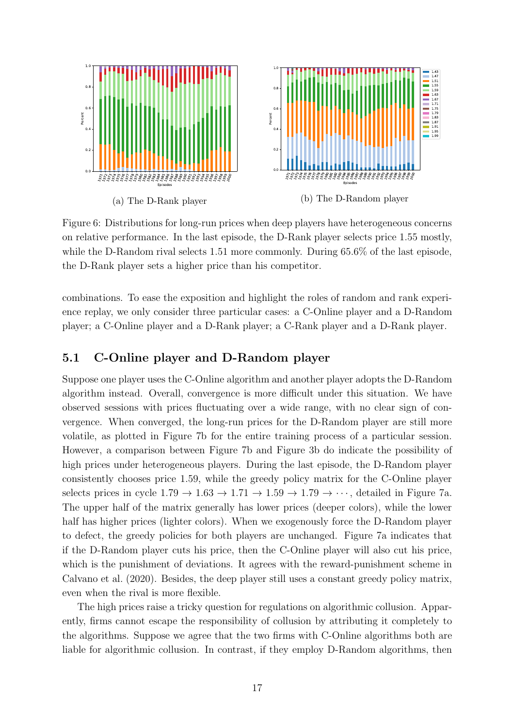<span id="page-16-1"></span>

Figure 6: Distributions for long-run prices when deep players have heterogeneous concerns on relative performance. In the last episode, the D-Rank player selects price 1.55 mostly, while the D-Random rival selects 1.51 more commonly. During 65.6% of the last episode, the D-Rank player sets a higher price than his competitor.

combinations. To ease the exposition and highlight the roles of random and rank experience replay, we only consider three particular cases: a C-Online player and a D-Random player; a C-Online player and a D-Rank player; a C-Rank player and a D-Rank player.

#### <span id="page-16-0"></span>5.1 C-Online player and D-Random player

Suppose one player uses the C-Online algorithm and another player adopts the D-Random algorithm instead. Overall, convergence is more difficult under this situation. We have observed sessions with prices fluctuating over a wide range, with no clear sign of convergence. When converged, the long-run prices for the D-Random player are still more volatile, as plotted in Figure [7b](#page-17-0) for the entire training process of a particular session. However, a comparison between Figure [7b](#page-17-0) and Figure [3b](#page-12-0) do indicate the possibility of high prices under heterogeneous players. During the last episode, the D-Random player consistently chooses price 1.59, while the greedy policy matrix for the C-Online player selects prices in cycle  $1.79 \rightarrow 1.63 \rightarrow 1.71 \rightarrow 1.59 \rightarrow 1.79 \rightarrow \cdots$ , detailed in Figure [7a.](#page-17-0) The upper half of the matrix generally has lower prices (deeper colors), while the lower half has higher prices (lighter colors). When we exogenously force the D-Random player to defect, the greedy policies for both players are unchanged. Figure [7a](#page-17-0) indicates that if the D-Random player cuts his price, then the C-Online player will also cut his price, which is the punishment of deviations. It agrees with the reward-punishment scheme in [Calvano et al. \(2020\)](#page-23-2). Besides, the deep player still uses a constant greedy policy matrix, even when the rival is more flexible.

The high prices raise a tricky question for regulations on algorithmic collusion. Apparently, firms cannot escape the responsibility of collusion by attributing it completely to the algorithms. Suppose we agree that the two firms with C-Online algorithms both are liable for algorithmic collusion. In contrast, if they employ D-Random algorithms, then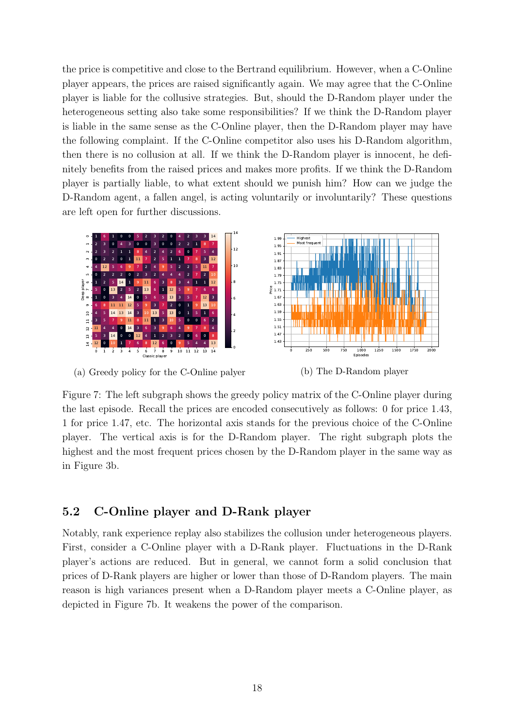the price is competitive and close to the Bertrand equilibrium. However, when a C-Online player appears, the prices are raised significantly again. We may agree that the C-Online player is liable for the collusive strategies. But, should the D-Random player under the heterogeneous setting also take some responsibilities? If we think the D-Random player is liable in the same sense as the C-Online player, then the D-Random player may have the following complaint. If the C-Online competitor also uses his D-Random algorithm, then there is no collusion at all. If we think the D-Random player is innocent, he definitely benefits from the raised prices and makes more profits. If we think the D-Random player is partially liable, to what extent should we punish him? How can we judge the D-Random agent, a fallen angel, is acting voluntarily or involuntarily? These questions are left open for further discussions.

<span id="page-17-0"></span>

(a) Greedy policy for the C-Online palyer



Figure 7: The left subgraph shows the greedy policy matrix of the C-Online player during the last episode. Recall the prices are encoded consecutively as follows: 0 for price 1.43, 1 for price 1.47, etc. The horizontal axis stands for the previous choice of the C-Online player. The vertical axis is for the D-Random player. The right subgraph plots the highest and the most frequent prices chosen by the D-Random player in the same way as in Figure [3b.](#page-12-0)

### 5.2 C-Online player and D-Rank player

Notably, rank experience replay also stabilizes the collusion under heterogeneous players. First, consider a C-Online player with a D-Rank player. Fluctuations in the D-Rank player's actions are reduced. But in general, we cannot form a solid conclusion that prices of D-Rank players are higher or lower than those of D-Random players. The main reason is high variances present when a D-Random player meets a C-Online player, as depicted in Figure [7b.](#page-17-0) It weakens the power of the comparison.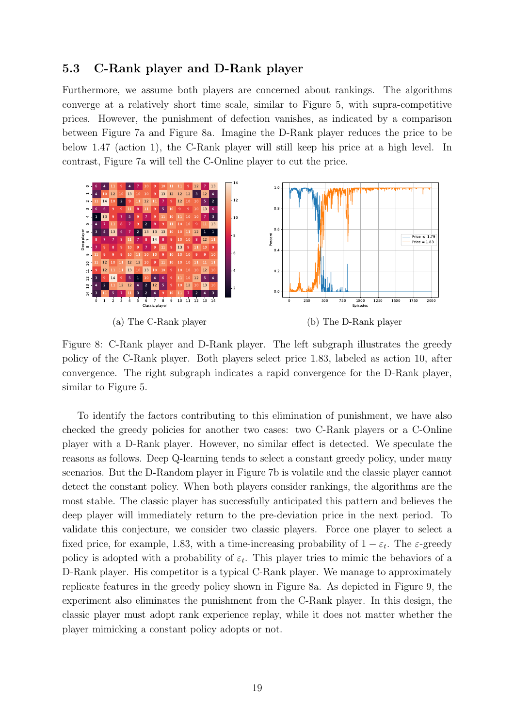#### 5.3 C-Rank player and D-Rank player

Furthermore, we assume both players are concerned about rankings. The algorithms converge at a relatively short time scale, similar to Figure [5,](#page-14-0) with supra-competitive prices. However, the punishment of defection vanishes, as indicated by a comparison between Figure [7a](#page-17-0) and Figure [8a.](#page-18-0) Imagine the D-Rank player reduces the price to be below 1.47 (action 1), the C-Rank player will still keep his price at a high level. In contrast, Figure [7a](#page-17-0) will tell the C-Online player to cut the price.

<span id="page-18-0"></span>

Figure 8: C-Rank player and D-Rank player. The left subgraph illustrates the greedy policy of the C-Rank player. Both players select price 1.83, labeled as action 10, after convergence. The right subgraph indicates a rapid convergence for the D-Rank player, similar to Figure [5.](#page-14-0)

To identify the factors contributing to this elimination of punishment, we have also checked the greedy policies for another two cases: two C-Rank players or a C-Online player with a D-Rank player. However, no similar effect is detected. We speculate the reasons as follows. Deep Q-learning tends to select a constant greedy policy, under many scenarios. But the D-Random player in Figure [7b](#page-17-0) is volatile and the classic player cannot detect the constant policy. When both players consider rankings, the algorithms are the most stable. The classic player has successfully anticipated this pattern and believes the deep player will immediately return to the pre-deviation price in the next period. To validate this conjecture, we consider two classic players. Force one player to select a fixed price, for example, 1.83, with a time-increasing probability of  $1 - \varepsilon_t$ . The  $\varepsilon$ -greedy policy is adopted with a probability of  $\varepsilon_t$ . This player tries to mimic the behaviors of a D-Rank player. His competitor is a typical C-Rank player. We manage to approximately replicate features in the greedy policy shown in Figure [8a.](#page-18-0) As depicted in Figure [9,](#page-19-2) the experiment also eliminates the punishment from the C-Rank player. In this design, the classic player must adopt rank experience replay, while it does not matter whether the player mimicking a constant policy adopts or not.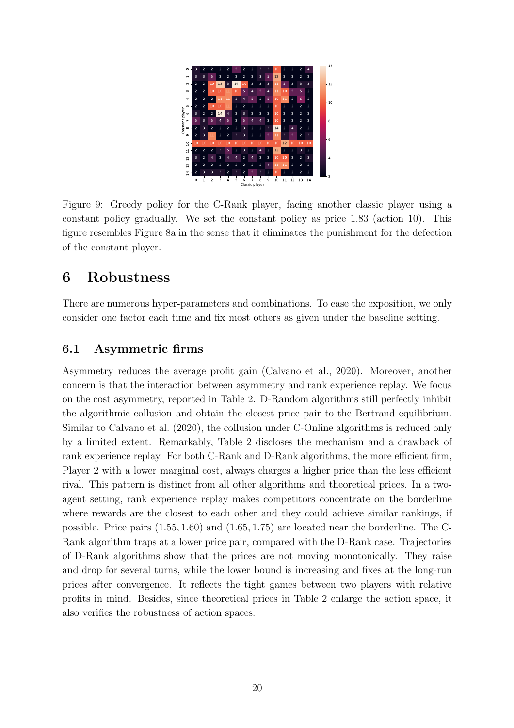<span id="page-19-2"></span>

Figure 9: Greedy policy for the C-Rank player, facing another classic player using a constant policy gradually. We set the constant policy as price 1.83 (action 10). This figure resembles Figure [8a](#page-18-0) in the sense that it eliminates the punishment for the defection of the constant player.

# <span id="page-19-1"></span>6 Robustness

There are numerous hyper-parameters and combinations. To ease the exposition, we only consider one factor each time and fix most others as given under the baseline setting.

### <span id="page-19-0"></span>6.1 Asymmetric firms

Asymmetry reduces the average profit gain [\(Calvano et al., 2020](#page-23-2)). Moreover, another concern is that the interaction between asymmetry and rank experience replay. We focus on the cost asymmetry, reported in Table [2.](#page-20-1) D-Random algorithms still perfectly inhibit the algorithmic collusion and obtain the closest price pair to the Bertrand equilibrium. Similar to [Calvano et al. \(2020\)](#page-23-2), the collusion under C-Online algorithms is reduced only by a limited extent. Remarkably, Table [2](#page-20-1) discloses the mechanism and a drawback of rank experience replay. For both C-Rank and D-Rank algorithms, the more efficient firm, Player 2 with a lower marginal cost, always charges a higher price than the less efficient rival. This pattern is distinct from all other algorithms and theoretical prices. In a twoagent setting, rank experience replay makes competitors concentrate on the borderline where rewards are the closest to each other and they could achieve similar rankings, if possible. Price pairs (1.55, 1.60) and (1.65, 1.75) are located near the borderline. The C-Rank algorithm traps at a lower price pair, compared with the D-Rank case. Trajectories of D-Rank algorithms show that the prices are not moving monotonically. They raise and drop for several turns, while the lower bound is increasing and fixes at the long-run prices after convergence. It reflects the tight games between two players with relative profits in mind. Besides, since theoretical prices in Table [2](#page-20-1) enlarge the action space, it also verifies the robustness of action spaces.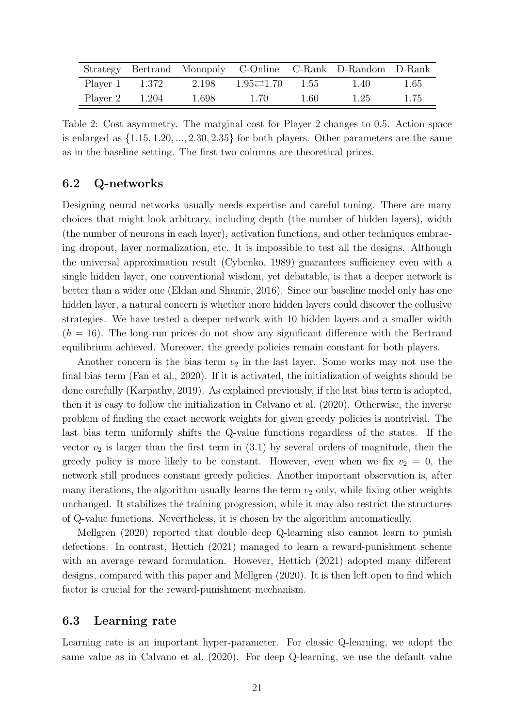<span id="page-20-1"></span>

|                         |       |                                     |      | Strategy Bertrand Monopoly C-Online C-Rank D-Random D-Rank |      |
|-------------------------|-------|-------------------------------------|------|------------------------------------------------------------|------|
| Player $1 \qquad 1.372$ | 2.198 | $1.95 \rightleftarrows 1.70$ $1.55$ |      | 1.40                                                       | 1.65 |
| Player $2 \qquad 1.204$ | 1.698 | 1.70                                | 1.60 | -1.25                                                      | 1.75 |

Table 2: Cost asymmetry. The marginal cost for Player 2 changes to 0.5. Action space is enlarged as  $\{1.15, 1.20, \ldots, 2.30, 2.35\}$  for both players. Other parameters are the same as in the baseline setting. The first two columns are theoretical prices.

### <span id="page-20-0"></span>6.2 Q-networks

Designing neural networks usually needs expertise and careful tuning. There are many choices that might look arbitrary, including depth (the number of hidden layers), width (the number of neurons in each layer), activation functions, and other techniques embracing dropout, layer normalization, etc. It is impossible to test all the designs. Although the universal approximation result [\(Cybenko](#page-23-10), [1989\)](#page-23-10) guarantees sufficiency even with a single hidden layer, one conventional wisdom, yet debatable, is that a deeper network is better than a wider one [\(Eldan and Shamir](#page-23-11), [2016](#page-23-11)). Since our baseline model only has one hidden layer, a natural concern is whether more hidden layers could discover the collusive strategies. We have tested a deeper network with 10 hidden layers and a smaller width  $(h = 16)$ . The long-run prices do not show any significant difference with the Bertrand equilibrium achieved. Moreover, the greedy policies remain constant for both players.

Another concern is the bias term  $v_2$  in the last layer. Some works may not use the final bias term [\(Fan et al., 2020](#page-23-5)). If it is activated, the initialization of weights should be done carefully [\(Karpathy](#page-24-14), [2019\)](#page-24-14). As explained previously, if the last bias term is adopted, then it is easy to follow the initialization in [Calvano et al. \(2020](#page-23-2)). Otherwise, the inverse problem of finding the exact network weights for given greedy policies is nontrivial. The last bias term uniformly shifts the Q-value functions regardless of the states. If the vector  $v_2$  is larger than the first term in  $(3.1)$  by several orders of magnitude, then the greedy policy is more likely to be constant. However, even when we fix  $v_2 = 0$ , the network still produces constant greedy policies. Another important observation is, after many iterations, the algorithm usually learns the term  $v_2$  only, while fixing other weights unchanged. It stabilizes the training progression, while it may also restrict the structures [of Q-value fu](#page-24-11)nctions. Nevertheless, it is chosen by the algorithm automatically.

Mellgren [\(2020](#page-24-11)) reported that double deep Q-learning also cannot learn to punish defections. In contrast, [Hettich \(2021\)](#page-24-12) managed to learn a reward-punishment scheme with an average reward formulation. However, Hettich  $(2021)$  adopted many different designs, compared with this paper and [Mellgren \(2020](#page-24-11)). It is then left open to find which factor is crucial for the reward-punishment mechanism.

#### 6.3 Learning rate

Learning rate is an important hyper-parameter. For classic Q-learning, we adopt the same value as in [Calvano et al. \(2020\)](#page-23-2). For deep Q-learning, we use the default value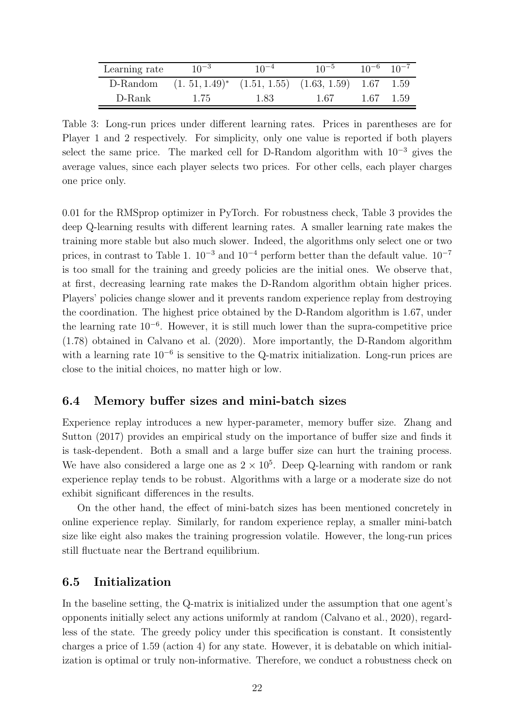<span id="page-21-1"></span>

| Learning rate | $10^{-3}$                                                    | $10^{-4}$ | $10^{-5}$ | $10^{-6}$ $10^{-7}$ |  |
|---------------|--------------------------------------------------------------|-----------|-----------|---------------------|--|
| D-Random      | $(1.51, 1.49)^*$ $(1.51, 1.55)$ $(1.63, 1.59)$ $1.67$ $1.59$ |           |           |                     |  |
| D-Rank        | 1.75                                                         | 1.83      | 1.67      | 1.67 1.59           |  |

Table 3: Long-run prices under different learning rates. Prices in parentheses are for Player 1 and 2 respectively. For simplicity, only one value is reported if both players select the same price. The marked cell for D-Random algorithm with  $10^{-3}$  gives the average values, since each player selects two prices. For other cells, each player charges one price only.

0.01 for the RMSprop optimizer in PyTorch. For robustness check, Table [3](#page-21-1) provides the deep Q-learning results with different learning rates. A smaller learning rate makes the training more stable but also much slower. Indeed, the algorithms only select one or two prices, in contrast to Table [1.](#page-11-0)  $10^{-3}$  and  $10^{-4}$  perform better than the default value.  $10^{-7}$ is too small for the training and greedy policies are the initial ones. We observe that, at first, decreasing learning rate makes the D-Random algorithm obtain higher prices. Players' policies change slower and it prevents random experience replay from destroying the coordination. The highest price obtained by the D-Random algorithm is 1.67, under the learning rate 10<sup>−</sup><sup>6</sup> . However, it is still much lower than the supra-competitive price (1.78) obtained in [Calvano et al. \(2020\)](#page-23-2). More importantly, the D-Random algorithm with a learning rate  $10^{-6}$  is sensitive to the Q-matrix initialization. Long-run prices are close to the initial choices, no matter high or low.

#### 6.4 Memory buffer sizes and mini-batch sizes

Experi[ence replay introduces a new hyper-parameter, memory buffer size.](#page-25-4) Zhang and Sutton [\(2017\)](#page-25-4) provides an empirical study on the importance of buffer size and finds it is task-dependent. Both a small and a large buffer size can hurt the training process. We have also considered a large one as  $2 \times 10^5$ . Deep Q-learning with random or rank experience replay tends to be robust. Algorithms with a large or a moderate size do not exhibit significant differences in the results.

On the other hand, the effect of mini-batch sizes has been mentioned concretely in online experience replay. Similarly, for random experience replay, a smaller mini-batch size like eight also makes the training progression volatile. However, the long-run prices still fluctuate near the Bertrand equilibrium.

#### <span id="page-21-0"></span>6.5 Initialization

In the baseline setting, the Q-matrix is initialized under the assumption that one agent's opponents initially select any actions uniformly at random [\(Calvano et](#page-23-2) al., [2020\)](#page-23-2), regardless of the state. The greedy policy under this specification is constant. It consistently charges a price of 1.59 (action 4) for any state. However, it is debatable on which initialization is optimal or truly non-informative. Therefore, we conduct a robustness check on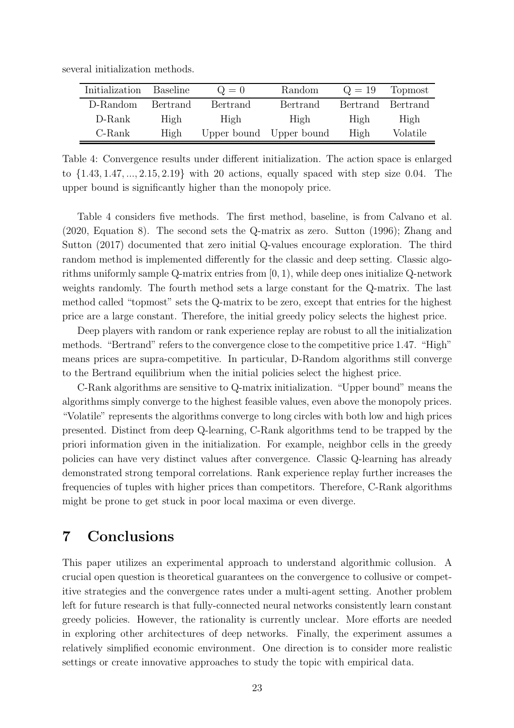<span id="page-22-1"></span>

|  |  |  |  | several initialization methods. |
|--|--|--|--|---------------------------------|
|--|--|--|--|---------------------------------|

| Initialization | Baseline | $Q=0$    | Random                  | $Q = 19$          | Topmost  |
|----------------|----------|----------|-------------------------|-------------------|----------|
| D-Random       | Bertrand | Bertrand | Bertrand                | Bertrand Bertrand |          |
| D-Rank         | High     | High     | High                    | High              | High     |
| C-Rank         | High     |          | Upper bound Upper bound | High              | Volatile |

Table 4: Convergence results under different initialization. The action space is enlarged to {1.43, 1.47, ..., 2.15, 2.19} with 20 actions, equally spaced with step size 0.04. The upper bound is significantly higher than the monopoly price.

Table [4](#page-22-1) considers five methods. The first method, baseline, is from [Calvano et al.](#page-23-2) [\(2020](#page-23-2), [Equation 8\). The second sets the Q-matrix as zero.](#page-25-4) [Sutton \(1996](#page-25-5)[\);](#page-25-4) Zhang and Sutton [\(2017](#page-25-4)) documented that zero initial Q-values encourage exploration. The third random method is implemented differently for the classic and deep setting. Classic algorithms uniformly sample Q-matrix entries from [0, 1), while deep ones initialize Q-network weights randomly. The fourth method sets a large constant for the Q-matrix. The last method called "topmost" sets the Q-matrix to be zero, except that entries for the highest price are a large constant. Therefore, the initial greedy policy selects the highest price.

Deep players with random or rank experience replay are robust to all the initialization methods. "Bertrand" refers to the convergence close to the competitive price 1.47. "High" means prices are supra-competitive. In particular, D-Random algorithms still converge to the Bertrand equilibrium when the initial policies select the highest price.

C-Rank algorithms are sensitive to Q-matrix initialization. "Upper bound" means the algorithms simply converge to the highest feasible values, even above the monopoly prices. "Volatile" represents the algorithms converge to long circles with both low and high prices presented. Distinct from deep Q-learning, C-Rank algorithms tend to be trapped by the priori information given in the initialization. For example, neighbor cells in the greedy policies can have very distinct values after convergence. Classic Q-learning has already demonstrated strong temporal correlations. Rank experience replay further increases the frequencies of tuples with higher prices than competitors. Therefore, C-Rank algorithms might be prone to get stuck in poor local maxima or even diverge.

### <span id="page-22-0"></span>7 Conclusions

This paper utilizes an experimental approach to understand algorithmic collusion. A crucial open question is theoretical guarantees on the convergence to collusive or competitive strategies and the convergence rates under a multi-agent setting. Another problem left for future research is that fully-connected neural networks consistently learn constant greedy policies. However, the rationality is currently unclear. More efforts are needed in exploring other architectures of deep networks. Finally, the experiment assumes a relatively simplified economic environment. One direction is to consider more realistic settings or create innovative approaches to study the topic with empirical data.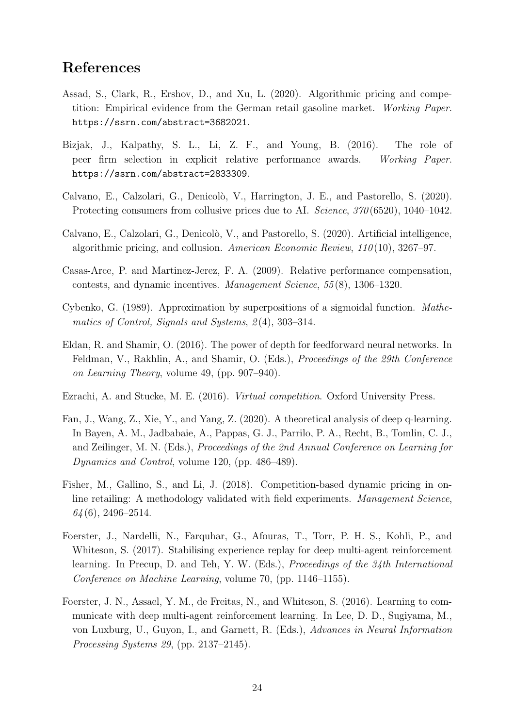## References

- <span id="page-23-3"></span>Assad, S., Clark, R., Ershov, D., and Xu, L. (2020). Algorithmic pricing and competition: Empirical evidence from the German retail gasoline market. *Working Paper*. <https://ssrn.com/abstract=3682021>.
- <span id="page-23-7"></span>Bizjak, J., Kalpathy, S. L., Li, Z. F., and Young, B. (2016). The role of peer firm selection in explicit relative performance awards. *Working Paper*. <https://ssrn.com/abstract=2833309>.
- <span id="page-23-4"></span>Calvano, E., Calzolari, G., Denicolò, V., Harrington, J. E., and Pastorello, S. (2020). Protecting consumers from collusive prices due to AI. *Science*, *370* (6520), 1040–1042.
- <span id="page-23-2"></span>Calvano, E., Calzolari, G., Denicolò, V., and Pastorello, S. (2020). Artificial intelligence, algorithmic pricing, and collusion. *American Economic Review*, *110* (10), 3267–97.
- <span id="page-23-6"></span>Casas-Arce, P. and Martinez-Jerez, F. A. (2009). Relative performance compensation, contests, and dynamic incentives. *Management Science*, *55* (8), 1306–1320.
- <span id="page-23-10"></span>Cybenko, G. (1989). Approximation by superpositions of a sigmoidal function. *Mathematics of Control, Signals and Systems*, *2* (4), 303–314.
- <span id="page-23-11"></span>Eldan, R. and Shamir, O. (2016). The power of depth for feedforward neural networks. In Feldman, V., Rakhlin, A., and Shamir, O. (Eds.), *Proceedings of the 29th Conference on Learning Theory*, volume 49, (pp. 907–940).
- <span id="page-23-1"></span>Ezrachi, A. and Stucke, M. E. (2016). *Virtual competition*. Oxford University Press.
- <span id="page-23-5"></span>Fan, J., Wang, Z., Xie, Y., and Yang, Z. (2020). A theoretical analysis of deep q-learning. In Bayen, A. M., Jadbabaie, A., Pappas, G. J., Parrilo, P. A., Recht, B., Tomlin, C. J., and Zeilinger, M. N. (Eds.), *Proceedings of the 2nd Annual Conference on Learning for Dynamics and Control*, volume 120, (pp. 486–489).
- <span id="page-23-0"></span>Fisher, M., Gallino, S., and Li, J. (2018). Competition-based dynamic pricing in online retailing: A methodology validated with field experiments. *Management Science*, *64* (6), 2496–2514.
- <span id="page-23-9"></span>Foerster, J., Nardelli, N., Farquhar, G., Afouras, T., Torr, P. H. S., Kohli, P., and Whiteson, S. (2017). Stabilising experience replay for deep multi-agent reinforcement learning. In Precup, D. and Teh, Y. W. (Eds.), *Proceedings of the 34th International Conference on Machine Learning*, volume 70, (pp. 1146–1155).
- <span id="page-23-8"></span>Foerster, J. N., Assael, Y. M., de Freitas, N., and Whiteson, S. (2016). Learning to communicate with deep multi-agent reinforcement learning. In Lee, D. D., Sugiyama, M., von Luxburg, U., Guyon, I., and Garnett, R. (Eds.), *Advances in Neural Information Processing Systems 29*, (pp. 2137–2145).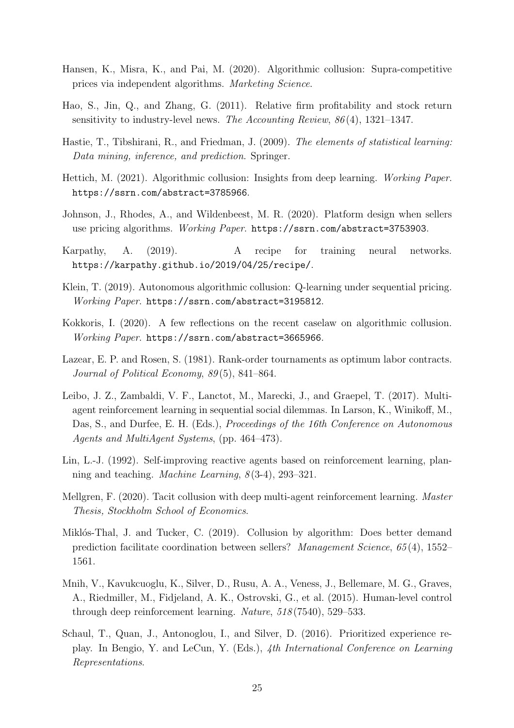- <span id="page-24-1"></span>Hansen, K., Misra, K., and Pai, M. (2020). Algorithmic collusion: Supra-competitive prices via independent algorithms. *Marketing Science*.
- <span id="page-24-8"></span>Hao, S., Jin, Q., and Zhang, G. (2011). Relative firm profitability and stock return sensitivity to industry-level news. *The Accounting Review*, *86* (4), 1321–1347.
- <span id="page-24-9"></span>Hastie, T., Tibshirani, R., and Friedman, J. (2009). *The elements of statistical learning: Data mining, inference, and prediction*. Springer.
- <span id="page-24-12"></span>Hettich, M. (2021). Algorithmic collusion: Insights from deep learning. *Working Paper*. <https://ssrn.com/abstract=3785966>.
- <span id="page-24-10"></span>Johnson, J., Rhodes, A., and Wildenbeest, M. R. (2020). Platform design when sellers use pricing algorithms. *Working Paper*. <https://ssrn.com/abstract=3753903>.
- <span id="page-24-14"></span>Karpathy, A. (2019). A recipe for training neural networks. <https://karpathy.github.io/2019/04/25/recipe/>.
- <span id="page-24-2"></span>Klein, T. (2019). Autonomous algorithmic collusion: Q-learning under sequential pricing. *Working Paper*. <https://ssrn.com/abstract=3195812>.
- <span id="page-24-3"></span>Kokkoris, I. (2020). A few reflections on the recent caselaw on algorithmic collusion. *Working Paper*. <https://ssrn.com/abstract=3665966>.
- <span id="page-24-7"></span>Lazear, E. P. and Rosen, S. (1981). Rank-order tournaments as optimum labor contracts. *Journal of Political Economy*, *89* (5), 841–864.
- <span id="page-24-13"></span>Leibo, J. Z., Zambaldi, V. F., Lanctot, M., Marecki, J., and Graepel, T. (2017). Multiagent reinforcement learning in sequential social dilemmas. In Larson, K., Winikoff, M., Das, S., and Durfee, E. H. (Eds.), *Proceedings of the 16th Conference on Autonomous Agents and MultiAgent Systems*, (pp. 464–473).
- <span id="page-24-5"></span>Lin, L.-J. (1992). Self-improving reactive agents based on reinforcement learning, planning and teaching. *Machine Learning*, *8* (3-4), 293–321.
- <span id="page-24-11"></span>Mellgren, F. (2020). Tacit collusion with deep multi-agent reinforcement learning. *Master Thesis, Stockholm School of Economics*.
- <span id="page-24-0"></span>Miklós-Thal, J. and Tucker, C. (2019). Collusion by algorithm: Does better demand prediction facilitate coordination between sellers? *Management Science*, *65* (4), 1552– 1561.
- <span id="page-24-4"></span>Mnih, V., Kavukcuoglu, K., Silver, D., Rusu, A. A., Veness, J., Bellemare, M. G., Graves, A., Riedmiller, M., Fidjeland, A. K., Ostrovski, G., et al. (2015). Human-level control through deep reinforcement learning. *Nature*, *518* (7540), 529–533.
- <span id="page-24-6"></span>Schaul, T., Quan, J., Antonoglou, I., and Silver, D. (2016). Prioritized experience replay. In Bengio, Y. and LeCun, Y. (Eds.), *4th International Conference on Learning Representations*.